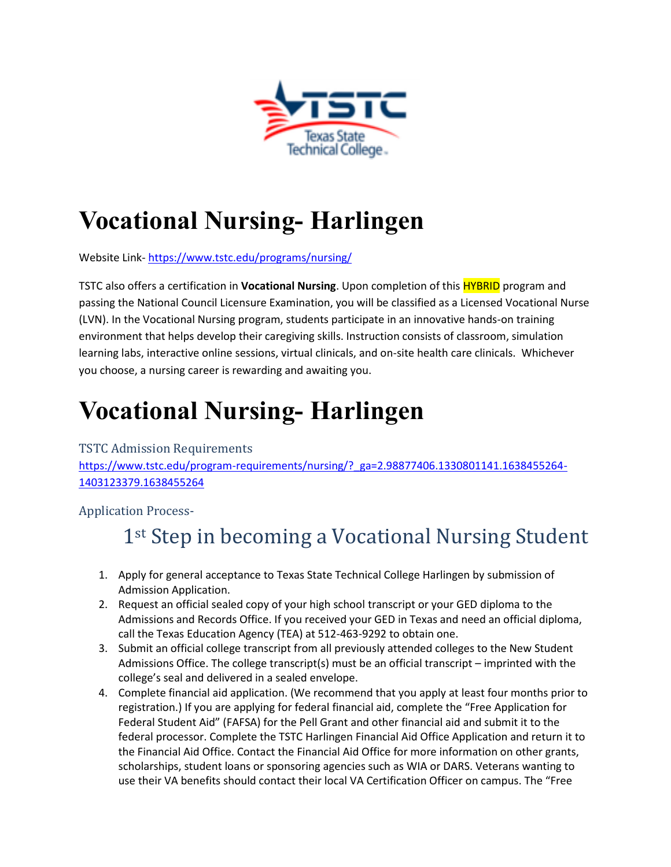

# **Vocational Nursing- Harlingen**

Website Link- <https://www.tstc.edu/programs/nursing/>

TSTC also offers a certification in **Vocational Nursing**. Upon completion of this HYBRID program and passing the National Council Licensure Examination, you will be classified as a Licensed Vocational Nurse (LVN). In the Vocational Nursing program, students participate in an innovative hands-on training environment that helps develop their caregiving skills. Instruction consists of classroom, simulation learning labs, interactive online sessions, virtual clinicals, and on-site health care clinicals. Whichever you choose, a nursing career is rewarding and awaiting you.

# **Vocational Nursing- Harlingen**

#### TSTC Admission Requirements

[https://www.tstc.edu/program-requirements/nursing/?\\_ga=2.98877406.1330801141.1638455264-](https://www.tstc.edu/program-requirements/nursing/?_ga=2.98877406.1330801141.1638455264-1403123379.1638455264) [1403123379.1638455264](https://www.tstc.edu/program-requirements/nursing/?_ga=2.98877406.1330801141.1638455264-1403123379.1638455264)

Application Process-

## 1<sup>st</sup> Step in becoming a Vocational Nursing Student

- 1. Apply for general acceptance to Texas State Technical College Harlingen by submission of Admission Application.
- 2. Request an official sealed copy of your high school transcript or your GED diploma to the Admissions and Records Office. If you received your GED in Texas and need an official diploma, call the Texas Education Agency (TEA) at 512-463-9292 to obtain one.
- 3. Submit an official college transcript from all previously attended colleges to the New Student Admissions Office. The college transcript(s) must be an official transcript – imprinted with the college's seal and delivered in a sealed envelope.
- 4. Complete financial aid application. (We recommend that you apply at least four months prior to registration.) If you are applying for federal financial aid, complete the "Free Application for Federal Student Aid" (FAFSA) for the Pell Grant and other financial aid and submit it to the federal processor. Complete the TSTC Harlingen Financial Aid Office Application and return it to the Financial Aid Office. Contact the Financial Aid Office for more information on other grants, scholarships, student loans or sponsoring agencies such as WIA or DARS. Veterans wanting to use their VA benefits should contact their local VA Certification Officer on campus. The "Free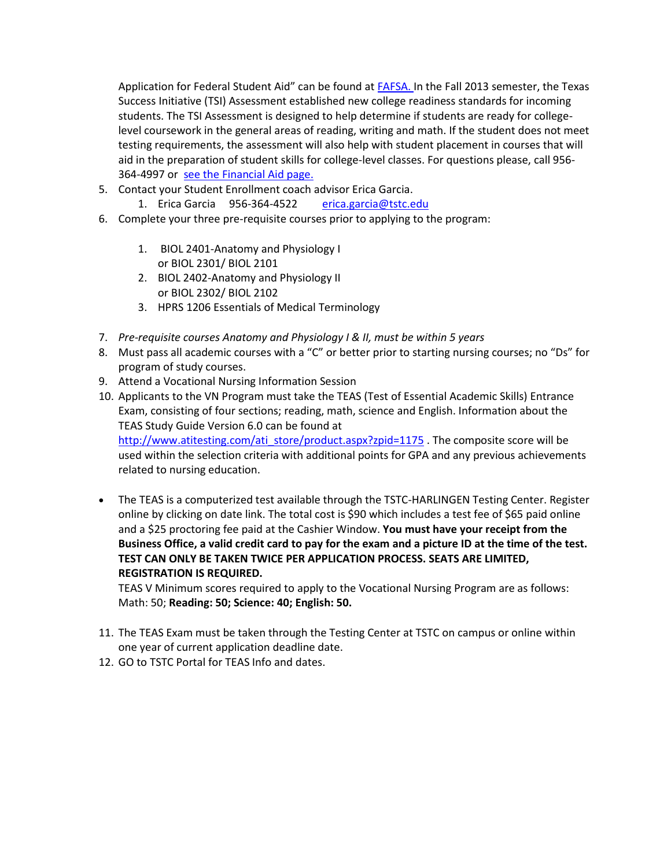Application for Federal Student Aid" can be found at [FAFSA. I](https://studentaid.ed.gov/sa/fafsa)n the Fall 2013 semester, the Texas Success Initiative (TSI) Assessment established new college readiness standards for incoming students. The TSI Assessment is designed to help determine if students are ready for collegelevel coursework in the general areas of reading, writing and math. If the student does not meet testing requirements, the assessment will also help with student placement in courses that will aid in the preparation of student skills for college-level classes. For questions please, call 956- 364-4997 or [see the Financial Aid page.](https://www.tstc.edu/admissions/financial-aid/)

- 5. Contact your Student Enrollment coach advisor Erica Garcia.
	- 1. Erica Garcia 956-364-4522 [erica.garcia@tstc.edu](mailto:erica.garcia@tstc.edu)
- 6. Complete your three pre-requisite courses prior to applying to the program:
	- 1. BIOL 2401-Anatomy and Physiology I or BIOL 2301/ BIOL 2101
	- 2. BIOL 2402-Anatomy and Physiology II or BIOL 2302/ BIOL 2102
	- 3. HPRS 1206 Essentials of Medical Terminology
- 7. *Pre-requisite courses Anatomy and Physiology I & II, must be within 5 years*
- 8. Must pass all academic courses with a "C" or better prior to starting nursing courses; no "Ds" for program of study courses.
- 9. Attend a Vocational Nursing Information Session
- 10. Applicants to the VN Program must take the TEAS (Test of Essential Academic Skills) Entrance Exam, consisting of four sections; reading, math, science and English. Information about the TEAS Study Guide Version 6.0 can be found at [http://www.atitesting.com/ati\\_store/product.aspx?zpid=1175](http://www.atitesting.com/ati_store/product.aspx?zpid=1175) . The composite score will be used within the selection criteria with additional points for GPA and any previous achievements related to nursing education.
- The TEAS is a computerized test available through the TSTC-HARLINGEN Testing Center. Register online by clicking on date link. The total cost is \$90 which includes a test fee of \$65 paid online and a \$25 proctoring fee paid at the Cashier Window. **You must have your receipt from the Business Office, a valid credit card to pay for the exam and a picture ID at the time of the test. TEST CAN ONLY BE TAKEN TWICE PER APPLICATION PROCESS. SEATS ARE LIMITED, REGISTRATION IS REQUIRED.**

TEAS V Minimum scores required to apply to the Vocational Nursing Program are as follows: Math: 50; **Reading: 50; Science: 40; English: 50.**

- 11. The TEAS Exam must be taken through the Testing Center at TSTC on campus or online within one year of current application deadline date.
- 12. GO to TSTC Portal for TEAS Info and dates.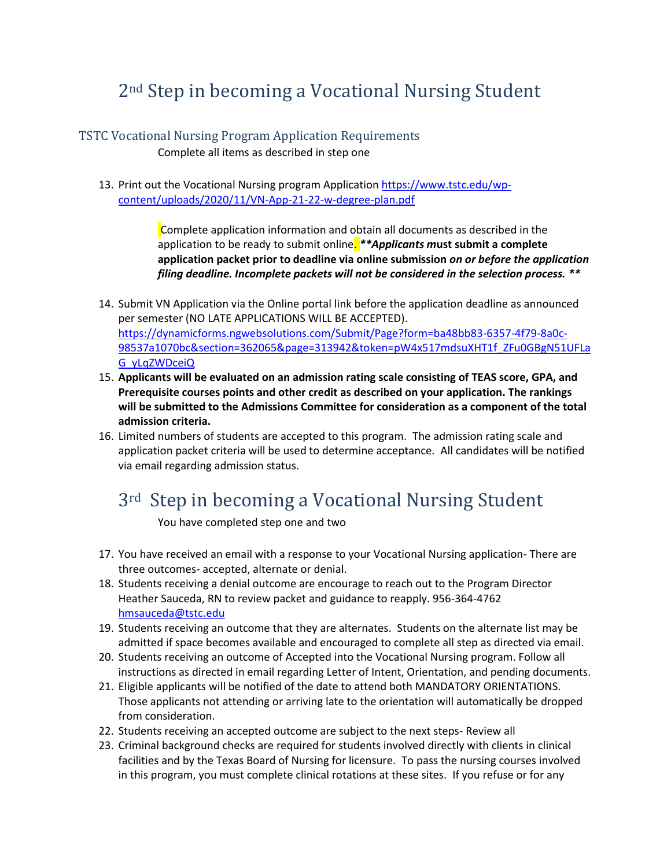## 2nd Step in becoming a Vocational Nursing Student

#### TSTC Vocational Nursing Program Application Requirements

Complete all items as described in step one

13. Print out the Vocational Nursing program Application [https://www.tstc.edu/wp](https://www.tstc.edu/wp-content/uploads/2020/11/VN-App-21-22-w-degree-plan.pdf)[content/uploads/2020/11/VN-App-21-22-w-degree-plan.pdf](https://www.tstc.edu/wp-content/uploads/2020/11/VN-App-21-22-w-degree-plan.pdf)

> Complete application information and obtain all documents as described in the application to be ready to submit online. *\*\*Applicants m***ust submit a complete application packet prior to deadline via online submission** *on or before the application filing deadline. Incomplete packets will not be considered in the selection process. \*\**

- 14. Submit VN Application via the Online portal link before the application deadline as announced per semester (NO LATE APPLICATIONS WILL BE ACCEPTED). [https://dynamicforms.ngwebsolutions.com/Submit/Page?form=ba48bb83-6357-4f79-8a0c-](https://dynamicforms.ngwebsolutions.com/Submit/Page?form=ba48bb83-6357-4f79-8a0c-98537a1070bc§ion=362065&page=313942&token=pW4x517mdsuXHT1f_ZFu0GBgN51UFLaG_yLqZWDceiQ)[98537a1070bc&section=362065&page=313942&token=pW4x517mdsuXHT1f\\_ZFu0GBgN51UFLa](https://dynamicforms.ngwebsolutions.com/Submit/Page?form=ba48bb83-6357-4f79-8a0c-98537a1070bc§ion=362065&page=313942&token=pW4x517mdsuXHT1f_ZFu0GBgN51UFLaG_yLqZWDceiQ) [G\\_yLqZWDceiQ](https://dynamicforms.ngwebsolutions.com/Submit/Page?form=ba48bb83-6357-4f79-8a0c-98537a1070bc§ion=362065&page=313942&token=pW4x517mdsuXHT1f_ZFu0GBgN51UFLaG_yLqZWDceiQ)
- 15. **Applicants will be evaluated on an admission rating scale consisting of TEAS score, GPA, and Prerequisite courses points and other credit as described on your application. The rankings will be submitted to the Admissions Committee for consideration as a component of the total admission criteria.**
- 16. Limited numbers of students are accepted to this program. The admission rating scale and application packet criteria will be used to determine acceptance. All candidates will be notified via email regarding admission status.

## 3rd Step in becoming a Vocational Nursing Student

You have completed step one and two

- 17. You have received an email with a response to your Vocational Nursing application- There are three outcomes- accepted, alternate or denial.
- 18. Students receiving a denial outcome are encourage to reach out to the Program Director Heather Sauceda, RN to review packet and guidance to reapply. 956-364-4762 [hmsauceda@tstc.edu](mailto:hmsauceda@tstc.edu)
- 19. Students receiving an outcome that they are alternates. Students on the alternate list may be admitted if space becomes available and encouraged to complete all step as directed via email.
- 20. Students receiving an outcome of Accepted into the Vocational Nursing program. Follow all instructions as directed in email regarding Letter of Intent, Orientation, and pending documents.
- 21. Eligible applicants will be notified of the date to attend both MANDATORY ORIENTATIONS. Those applicants not attending or arriving late to the orientation will automatically be dropped from consideration.
- 22. Students receiving an accepted outcome are subject to the next steps- Review all
- 23. Criminal background checks are required for students involved directly with clients in clinical facilities and by the Texas Board of Nursing for licensure. To pass the nursing courses involved in this program, you must complete clinical rotations at these sites. If you refuse or for any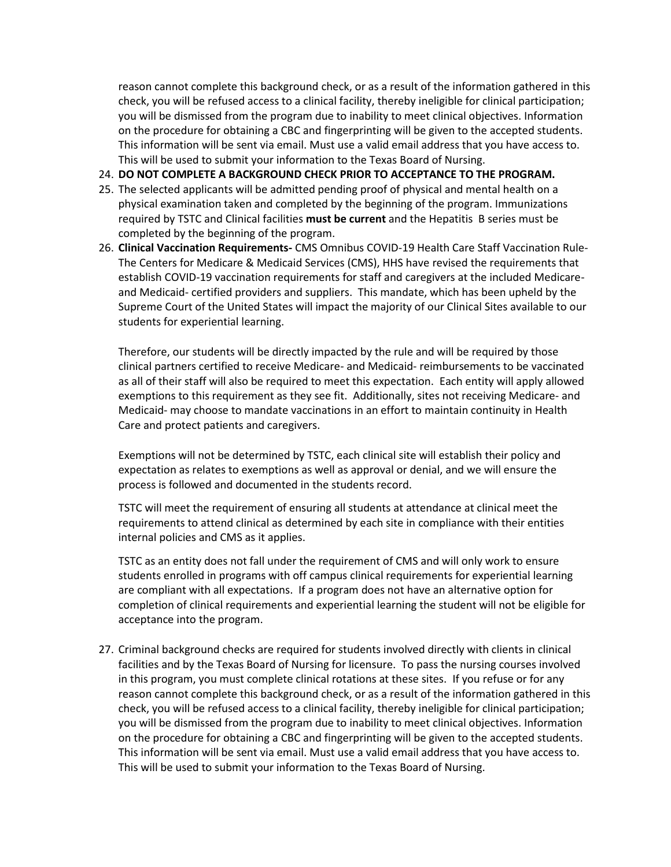reason cannot complete this background check, or as a result of the information gathered in this check, you will be refused access to a clinical facility, thereby ineligible for clinical participation; you will be dismissed from the program due to inability to meet clinical objectives. Information on the procedure for obtaining a CBC and fingerprinting will be given to the accepted students. This information will be sent via email. Must use a valid email address that you have access to. This will be used to submit your information to the Texas Board of Nursing.

- 24. **DO NOT COMPLETE A BACKGROUND CHECK PRIOR TO ACCEPTANCE TO THE PROGRAM.**
- 25. The selected applicants will be admitted pending proof of physical and mental health on a physical examination taken and completed by the beginning of the program. Immunizations required by TSTC and Clinical facilities **must be current** and the Hepatitis B series must be completed by the beginning of the program.
- 26. **Clinical Vaccination Requirements-** CMS Omnibus COVID-19 Health Care Staff Vaccination Rule-The Centers for Medicare & Medicaid Services (CMS), HHS have revised the requirements that establish COVID-19 vaccination requirements for staff and caregivers at the included Medicareand Medicaid- certified providers and suppliers. This mandate, which has been upheld by the Supreme Court of the United States will impact the majority of our Clinical Sites available to our students for experiential learning.

Therefore, our students will be directly impacted by the rule and will be required by those clinical partners certified to receive Medicare- and Medicaid- reimbursements to be vaccinated as all of their staff will also be required to meet this expectation. Each entity will apply allowed exemptions to this requirement as they see fit. Additionally, sites not receiving Medicare- and Medicaid- may choose to mandate vaccinations in an effort to maintain continuity in Health Care and protect patients and caregivers.

Exemptions will not be determined by TSTC, each clinical site will establish their policy and expectation as relates to exemptions as well as approval or denial, and we will ensure the process is followed and documented in the students record.

TSTC will meet the requirement of ensuring all students at attendance at clinical meet the requirements to attend clinical as determined by each site in compliance with their entities internal policies and CMS as it applies.

TSTC as an entity does not fall under the requirement of CMS and will only work to ensure students enrolled in programs with off campus clinical requirements for experiential learning are compliant with all expectations. If a program does not have an alternative option for completion of clinical requirements and experiential learning the student will not be eligible for acceptance into the program.

27. Criminal background checks are required for students involved directly with clients in clinical facilities and by the Texas Board of Nursing for licensure. To pass the nursing courses involved in this program, you must complete clinical rotations at these sites. If you refuse or for any reason cannot complete this background check, or as a result of the information gathered in this check, you will be refused access to a clinical facility, thereby ineligible for clinical participation; you will be dismissed from the program due to inability to meet clinical objectives. Information on the procedure for obtaining a CBC and fingerprinting will be given to the accepted students. This information will be sent via email. Must use a valid email address that you have access to. This will be used to submit your information to the Texas Board of Nursing.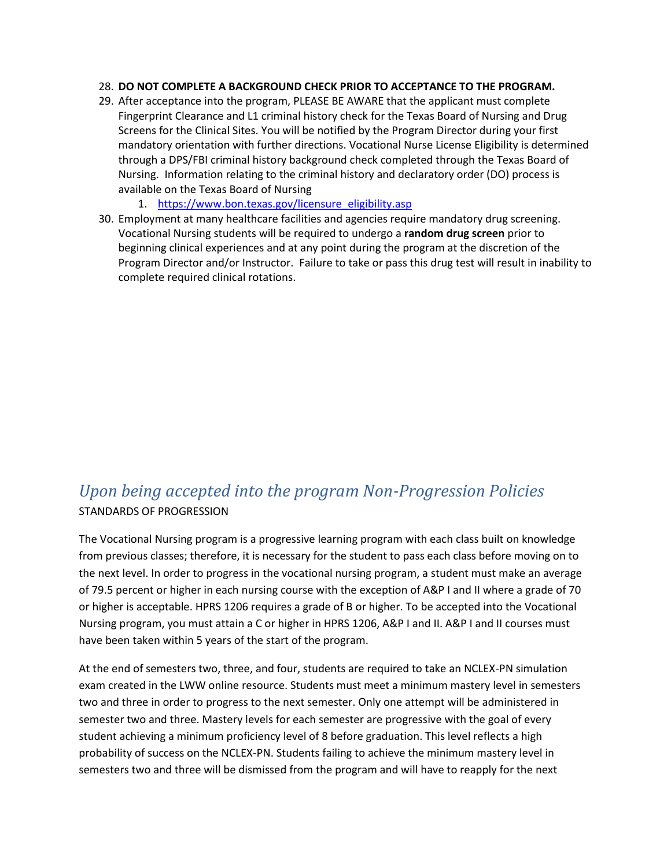#### 28. **DO NOT COMPLETE A BACKGROUND CHECK PRIOR TO ACCEPTANCE TO THE PROGRAM.**

- 29. After acceptance into the program, PLEASE BE AWARE that the applicant must complete Fingerprint Clearance and L1 criminal history check for the Texas Board of Nursing and Drug Screens for the Clinical Sites. You will be notified by the Program Director during your first mandatory orientation with further directions. Vocational Nurse License Eligibility is determined through a DPS/FBI criminal history background check completed through the Texas Board of Nursing. Information relating to the criminal history and declaratory order (DO) process is available on the Texas Board of Nursing
	- 1. [https://www.bon.texas.gov/licensure\\_eligibility.asp](https://www.bon.texas.gov/licensure_eligibility.asp)
- 30. Employment at many healthcare facilities and agencies require mandatory drug screening. Vocational Nursing students will be required to undergo a **random drug screen** prior to beginning clinical experiences and at any point during the program at the discretion of the Program Director and/or Instructor. Failure to take or pass this drug test will result in inability to complete required clinical rotations.

### *Upon being accepted into the program Non-Progression Policies* STANDARDS OF PROGRESSION

The Vocational Nursing program is a progressive learning program with each class built on knowledge from previous classes; therefore, it is necessary for the student to pass each class before moving on to the next level. In order to progress in the vocational nursing program, a student must make an average of 79.5 percent or higher in each nursing course with the exception of A&P I and II where a grade of 70 or higher is acceptable. HPRS 1206 requires a grade of B or higher. To be accepted into the Vocational Nursing program, you must attain a C or higher in HPRS 1206, A&P I and II. A&P I and II courses must have been taken within 5 years of the start of the program.

At the end of semesters two, three, and four, students are required to take an NCLEX-PN simulation exam created in the LWW online resource. Students must meet a minimum mastery level in semesters two and three in order to progress to the next semester. Only one attempt will be administered in semester two and three. Mastery levels for each semester are progressive with the goal of every student achieving a minimum proficiency level of 8 before graduation. This level reflects a high probability of success on the NCLEX-PN. Students failing to achieve the minimum mastery level in semesters two and three will be dismissed from the program and will have to reapply for the next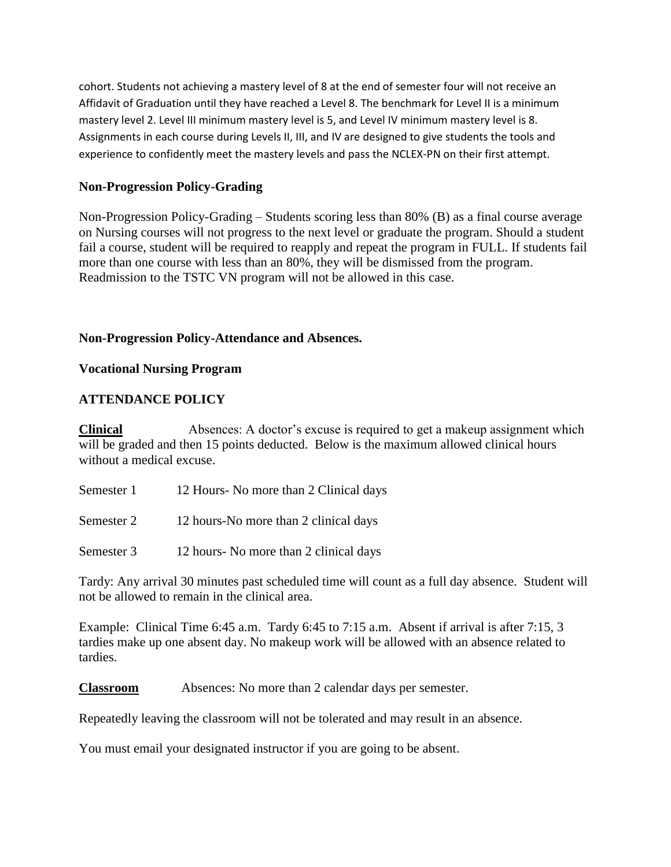cohort. Students not achieving a mastery level of 8 at the end of semester four will not receive an Affidavit of Graduation until they have reached a Level 8. The benchmark for Level II is a minimum mastery level 2. Level III minimum mastery level is 5, and Level IV minimum mastery level is 8. Assignments in each course during Levels II, III, and IV are designed to give students the tools and experience to confidently meet the mastery levels and pass the NCLEX-PN on their first attempt.

#### **Non-Progression Policy-Grading**

Non-Progression Policy-Grading – Students scoring less than 80% (B) as a final course average on Nursing courses will not progress to the next level or graduate the program. Should a student fail a course, student will be required to reapply and repeat the program in FULL. If students fail more than one course with less than an 80%, they will be dismissed from the program. Readmission to the TSTC VN program will not be allowed in this case.

#### **Non-Progression Policy-Attendance and Absences.**

#### **Vocational Nursing Program**

#### **ATTENDANCE POLICY**

**Clinical** Absences: A doctor's excuse is required to get a makeup assignment which will be graded and then 15 points deducted. Below is the maximum allowed clinical hours without a medical excuse.

| Semester 1 | 12 Hours - No more than 2 Clinical days |
|------------|-----------------------------------------|
|            |                                         |

Semester 2 12 hours-No more than 2 clinical days

Semester 3 12 hours- No more than 2 clinical days

Tardy: Any arrival 30 minutes past scheduled time will count as a full day absence. Student will not be allowed to remain in the clinical area.

Example: Clinical Time 6:45 a.m. Tardy 6:45 to 7:15 a.m. Absent if arrival is after 7:15, 3 tardies make up one absent day. No makeup work will be allowed with an absence related to tardies.

**Classroom** Absences: No more than 2 calendar days per semester.

Repeatedly leaving the classroom will not be tolerated and may result in an absence.

You must email your designated instructor if you are going to be absent.